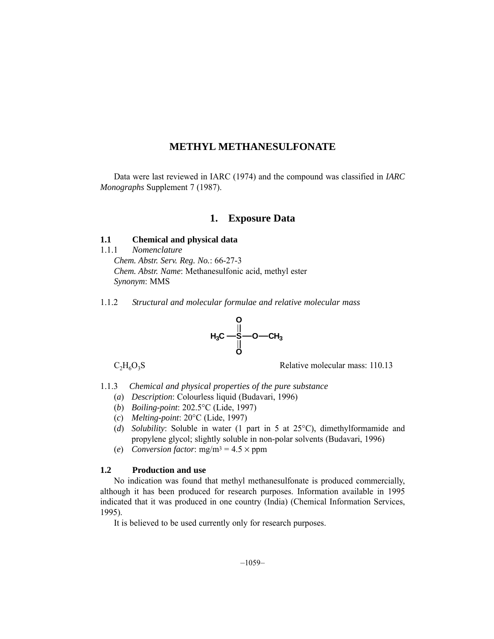# **METHYL METHANESULFONATE**

Data were last reviewed in IARC (1974) and the compound was classified in *IARC Monographs* Supplement 7 (1987).

## **1. Exposure Data**

## **1.1 Chemical and physical data**

- 1.1.1 *Nomenclature Chem. Abstr. Serv. Reg. No.*: 66-27-3 *Chem. Abstr. Name*: Methanesulfonic acid, methyl ester *Synonym*: MMS
- 1.1.2 *Structural and molecular formulae and relative molecular mass*



 $C_2H_6O_3S$  Relative molecular mass: 110.13

1.1.3 *Chemical and physical properties of the pure substance*

- (*a*) *Description*: Colourless liquid (Budavari, 1996)
- (*b*) *Boiling-point*: 202.5°C (Lide, 1997)
- (*c*) *Melting-point*: 20°C (Lide, 1997)
- (*d*) *Solubility*: Soluble in water (1 part in 5 at 25°C), dimethylformamide and propylene glycol; slightly soluble in non-polar solvents (Budavari, 1996)
- (*e*) *Conversion factor*: mg/m3 = 4.5 × ppm

## **1.2 Production and use**

No indication was found that methyl methanesulfonate is produced commercially, although it has been produced for research purposes. Information available in 1995 indicated that it was produced in one country (India) (Chemical Information Services, 1995).

It is believed to be used currently only for research purposes.

 $-1059-$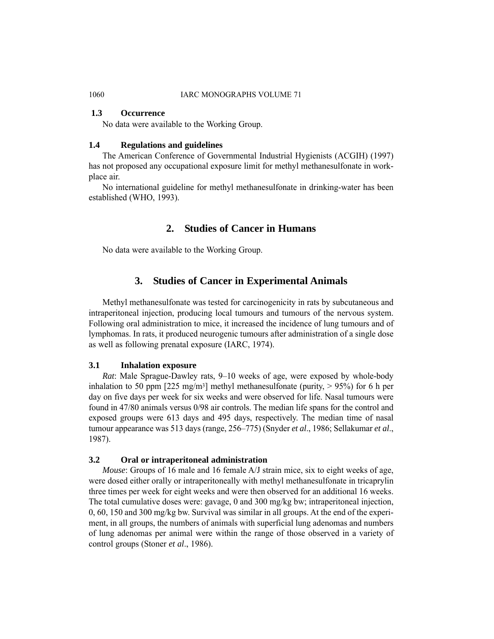### **1.3 Occurrence**

No data were available to the Working Group.

#### **1.4 Regulations and guidelines**

The American Conference of Governmental Industrial Hygienists (ACGIH) (1997) has not proposed any occupational exposure limit for methyl methanesulfonate in workplace air.

No international guideline for methyl methanesulfonate in drinking-water has been established (WHO, 1993).

# **2. Studies of Cancer in Humans**

No data were available to the Working Group.

## **3. Studies of Cancer in Experimental Animals**

Methyl methanesulfonate was tested for carcinogenicity in rats by subcutaneous and intraperitoneal injection, producing local tumours and tumours of the nervous system. Following oral administration to mice, it increased the incidence of lung tumours and of lymphomas. In rats, it produced neurogenic tumours after administration of a single dose as well as following prenatal exposure (IARC, 1974).

#### **3.1 Inhalation exposure**

*Rat*: Male Sprague-Dawley rats, 9–10 weeks of age, were exposed by whole-body inhalation to 50 ppm  $[225 \text{ mg/m}^3]$  methyl methanesulfonate (purity,  $> 95\%$ ) for 6 h per day on five days per week for six weeks and were observed for life. Nasal tumours were found in 47/80 animals versus 0/98 air controls. The median life spans for the control and exposed groups were 613 days and 495 days, respectively. The median time of nasal tumour appearance was 513 days (range, 256–775) (Snyder *et al*., 1986; Sellakumar *et al*., 1987).

#### **3.2 Oral or intraperitoneal administration**

*Mouse*: Groups of 16 male and 16 female A/J strain mice, six to eight weeks of age, were dosed either orally or intraperitoneally with methyl methanesulfonate in tricaprylin three times per week for eight weeks and were then observed for an additional 16 weeks. The total cumulative doses were: gavage, 0 and 300 mg/kg bw; intraperitoneal injection, 0, 60, 150 and 300 mg/kg bw. Survival was similar in all groups. At the end of the experiment, in all groups, the numbers of animals with superficial lung adenomas and numbers of lung adenomas per animal were within the range of those observed in a variety of control groups (Stoner *et al*., 1986).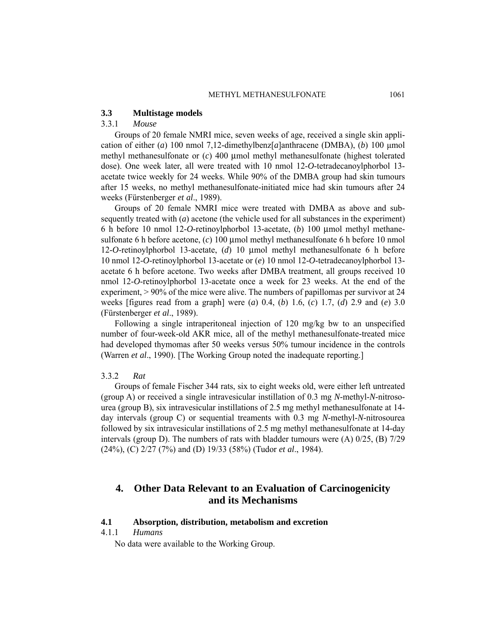#### **3.3 Multistage models**

## 3.3.1 *Mouse*

Groups of 20 female NMRI mice, seven weeks of age, received a single skin application of either (*a*) 100 nmol 7,12-dimethylbenz[*a*]anthracene (DMBA), (*b*) 100 μmol methyl methanesulfonate or (*c*) 400 μmol methyl methanesulfonate (highest tolerated dose). One week later, all were treated with 10 nmol 12-*O*-tetradecanoylphorbol 13 acetate twice weekly for 24 weeks. While 90% of the DMBA group had skin tumours after 15 weeks, no methyl methanesulfonate-initiated mice had skin tumours after 24 weeks (Fürstenberger *et al*., 1989).

Groups of 20 female NMRI mice were treated with DMBA as above and subsequently treated with (*a*) acetone (the vehicle used for all substances in the experiment) 6 h before 10 nmol 12-*O*-retinoylphorbol 13-acetate, (*b*) 100 μmol methyl methanesulfonate 6 h before acetone, (*c*) 100 μmol methyl methanesulfonate 6 h before 10 nmol 12-*O*-retinoylphorbol 13-acetate, (*d*) 10 μmol methyl methanesulfonate 6 h before 10 nmol 12-*O*-retinoylphorbol 13-acetate or (*e*) 10 nmol 12-*O*-tetradecanoylphorbol 13 acetate 6 h before acetone. Two weeks after DMBA treatment, all groups received 10 nmol 12-*O*-retinoylphorbol 13-acetate once a week for 23 weeks. At the end of the experiment, > 90% of the mice were alive. The numbers of papillomas per survivor at 24 weeks [figures read from a graph] were (*a*) 0.4, (*b*) 1.6, (*c*) 1.7, (*d*) 2.9 and (*e*) 3.0 (Fürstenberger *et al*., 1989).

Following a single intraperitoneal injection of 120 mg/kg bw to an unspecified number of four-week-old AKR mice, all of the methyl methanesulfonate-treated mice had developed thymomas after 50 weeks versus 50% tumour incidence in the controls (Warren *et al*., 1990). [The Working Group noted the inadequate reporting.]

#### 3.3.2 *Rat*

Groups of female Fischer 344 rats, six to eight weeks old, were either left untreated (group A) or received a single intravesicular instillation of 0.3 mg *N*-methyl-*N*-nitrosourea (group B), six intravesicular instillations of 2.5 mg methyl methanesulfonate at 14 day intervals (group C) or sequential treaments with 0.3 mg *N*-methyl-*N*-nitrosourea followed by six intravesicular instillations of 2.5 mg methyl methanesulfonate at 14-day intervals (group D). The numbers of rats with bladder tumours were (A) 0/25, (B) 7/29 (24%), (C) 2/27 (7%) and (D) 19/33 (58%) (Tudor *et al*., 1984).

# **4. Other Data Relevant to an Evaluation of Carcinogenicity and its Mechanisms**

#### **4.1 Absorption, distribution, metabolism and excretion**

## 4.1.1 *Humans*

No data were available to the Working Group.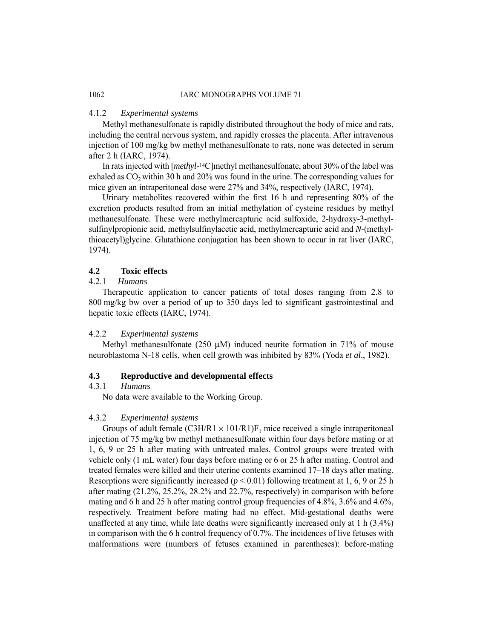## 4.1.2 *Experimental systems*

Methyl methanesulfonate is rapidly distributed throughout the body of mice and rats, including the central nervous system, and rapidly crosses the placenta. After intravenous injection of 100 mg/kg bw methyl methanesulfonate to rats, none was detected in serum after 2 h (IARC, 1974).

In rats injected with [*methyl*-14C]methyl methanesulfonate, about 30% of the label was exhaled as  $CO<sub>2</sub>$  within 30 h and 20% was found in the urine. The corresponding values for mice given an intraperitoneal dose were 27% and 34%, respectively (IARC, 1974).

Urinary metabolites recovered within the first 16 h and representing 80% of the excretion products resulted from an initial methylation of cysteine residues by methyl methanesulfonate. These were methylmercapturic acid sulfoxide, 2-hydroxy-3-methylsulfinylpropionic acid, methylsulfinylacetic acid, methylmercapturic acid and *N*-(methylthioacetyl)glycine. Glutathione conjugation has been shown to occur in rat liver (IARC, 1974).

## **4.2 Toxic effects**

## 4.2.1 *Humans*

Therapeutic application to cancer patients of total doses ranging from 2.8 to 800 mg/kg bw over a period of up to 350 days led to significant gastrointestinal and hepatic toxic effects (IARC, 1974).

### 4.2.2 *Experimental systems*

Methyl methanesulfonate (250  $\mu$ M) induced neurite formation in 71% of mouse neuroblastoma N-18 cells, when cell growth was inhibited by 83% (Yoda *et al*., 1982).

#### **4.3 Reproductive and developmental effects**

## 4.3.1 *Humans*

No data were available to the Working Group.

#### 4.3.2 *Experimental systems*

Groups of adult female  $(C3H/R1 \times 101/R1)F_1$  mice received a single intraperitoneal injection of 75 mg/kg bw methyl methanesulfonate within four days before mating or at 1, 6, 9 or 25 h after mating with untreated males. Control groups were treated with vehicle only (1 mL water) four days before mating or 6 or 25 h after mating. Control and treated females were killed and their uterine contents examined 17–18 days after mating. Resorptions were significantly increased ( $p < 0.01$ ) following treatment at 1, 6, 9 or 25 h after mating (21.2%, 25.2%, 28.2% and 22.7%, respectively) in comparison with before mating and 6 h and 25 h after mating control group frequencies of 4.8%, 3.6% and 4.6%, respectively. Treatment before mating had no effect. Mid-gestational deaths were unaffected at any time, while late deaths were significantly increased only at 1 h (3.4%) in comparison with the 6 h control frequency of 0.7%. The incidences of live fetuses with malformations were (numbers of fetuses examined in parentheses): before-mating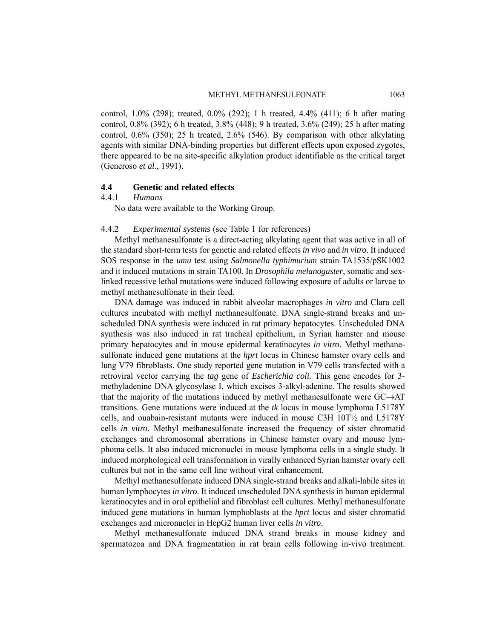control, 1.0% (298); treated, 0.0% (292); 1 h treated, 4.4% (411); 6 h after mating control, 0.8% (392); 6 h treated, 3.8% (448); 9 h treated, 3.6% (249); 25 h after mating control, 0.6% (350); 25 h treated, 2.6% (546). By comparison with other alkylating agents with similar DNA-binding properties but different effects upon exposed zygotes, there appeared to be no site-specific alkylation product identifiable as the critical target (Generoso *et al*., 1991).

## **4.4 Genetic and related effects**

4.4.1 *Humans*

No data were available to the Working Group.

### 4.4.2 *Experimental systems* (see Table 1 for references)

Methyl methanesulfonate is a direct-acting alkylating agent that was active in all of the standard short-term tests for genetic and related effects *in vivo* and *in vitro*. It induced SOS response in the *umu* test using *Salmonella typhimurium* strain TA1535/pSK1002 and it induced mutations in strain TA100. In *Drosophila melanogaster*, somatic and sexlinked recessive lethal mutations were induced following exposure of adults or larvae to methyl methanesulfonate in their feed.

DNA damage was induced in rabbit alveolar macrophages *in vitro* and Clara cell cultures incubated with methyl methanesulfonate. DNA single-strand breaks and unscheduled DNA synthesis were induced in rat primary hepatocytes. Unscheduled DNA synthesis was also induced in rat tracheal epithelium, in Syrian hamster and mouse primary hepatocytes and in mouse epidermal keratinocytes *in vitro*. Methyl methanesulfonate induced gene mutations at the *hprt* locus in Chinese hamster ovary cells and lung V79 fibroblasts. One study reported gene mutation in V79 cells transfected with a retroviral vector carrying the *tag* gene of *Escherichia coli.* This gene encodes for 3 methyladenine DNA glycosylase I, which excises 3-alkyl-adenine. The results showed that the majority of the mutations induced by methyl methanesulfonate were GC→AT transitions. Gene mutations were induced at the *tk* locus in mouse lymphoma L5178Y cells, and ouabain-resistant mutants were induced in mouse C3H 10T½ and L5178Y cells *in vitro*. Methyl methanesulfonate increased the frequency of sister chromatid exchanges and chromosomal aberrations in Chinese hamster ovary and mouse lymphoma cells. It also induced micronuclei in mouse lymphoma cells in a single study. It induced morphological cell transformation in virally enhanced Syrian hamster ovary cell cultures but not in the same cell line without viral enhancement.

Methyl methanesulfonate induced DNA single-strand breaks and alkali-labile sites in human lymphocytes *in vitro*. It induced unscheduled DNA synthesis in human epidermal keratinocytes and in oral epithelial and fibroblast cell cultures. Methyl methanesulfonate induced gene mutations in human lymphoblasts at the *hprt* locus and sister chromatid exchanges and micronuclei in HepG2 human liver cells *in vitro*.

Methyl methanesulfonate induced DNA strand breaks in mouse kidney and spermatozoa and DNA fragmentation in rat brain cells following in-vivo treatment.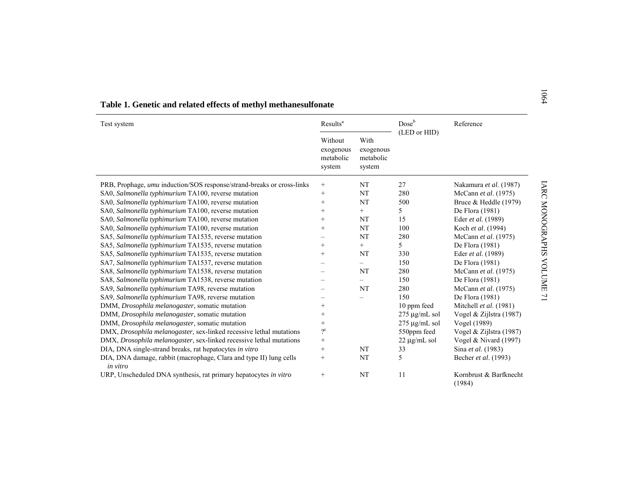| Test system                                                                    | Results <sup>a</sup>                                                                    |        | Dose <sup>b</sup>  | Reference                        |
|--------------------------------------------------------------------------------|-----------------------------------------------------------------------------------------|--------|--------------------|----------------------------------|
|                                                                                | Without<br>With<br>exogenous<br>exogenous<br>metabolic<br>metabolic<br>system<br>system |        | (LED or HID)       |                                  |
| PRB, Prophage, umu induction/SOS response/strand-breaks or cross-links         | $^{+}$                                                                                  | NT     | 27                 | Nakamura et al. (1987)           |
| SA0, Salmonella typhimurium TA100, reverse mutation                            | $+$                                                                                     | NT     | 280                | McCann et al. (1975)             |
| SA0, Salmonella typhimurium TA100, reverse mutation                            | $^{+}$                                                                                  | NT     | 500                | Bruce & Heddle (1979)            |
| SA0, Salmonella typhimurium TA100, reverse mutation                            | $^{+}$                                                                                  | $^{+}$ | 5                  | De Flora (1981)                  |
| SA0, Salmonella typhimurium TA100, reverse mutation                            | $^{+}$                                                                                  | NT     | 15                 | Eder et al. (1989)               |
| SA0, Salmonella typhimurium TA100, reverse mutation                            | $^{+}$                                                                                  | NT     | 100                | Koch et al. (1994)               |
| SA5, Salmonella typhimurium TA1535, reverse mutation                           |                                                                                         | NT     | 280                | McCann et al. (1975)             |
| SA5, Salmonella typhimurium TA1535, reverse mutation                           | $^{+}$                                                                                  | $^{+}$ | 5.                 | De Flora (1981)                  |
| SA5, Salmonella typhimurium TA1535, reverse mutation                           | $^{+}$                                                                                  | NT     | 330                | Eder et al. (1989)               |
| SA7, Salmonella typhimurium TA1537, reverse mutation                           |                                                                                         | $=$    | 150                | De Flora (1981)                  |
| SA8, Salmonella typhimurium TA1538, reverse mutation                           |                                                                                         | NT     | 280                | McCann et al. (1975)             |
| SA8, Salmonella typhimurium TA1538, reverse mutation                           |                                                                                         | Ξ.     | 150                | De Flora (1981)                  |
| SA9, Salmonella typhimurium TA98, reverse mutation                             |                                                                                         | NT     | 280                | McCann et al. (1975)             |
| SA9, Salmonella typhimurium TA98, reverse mutation                             |                                                                                         |        | 150                | De Flora (1981)                  |
| DMM, Drosophila melanogaster, somatic mutation                                 | $^+$                                                                                    |        | 10 ppm feed        | Mitchell et al. (1981)           |
| DMM, Drosophila melanogaster, somatic mutation                                 | $^{+}$                                                                                  |        | $275 \mu$ g/mL sol | Vogel & Zijlstra (1987)          |
| DMM, Drosophila melanogaster, somatic mutation                                 | $^{+}$                                                                                  |        | $275 \mu g/mL$ sol | Vogel (1989)                     |
| DMX, Drosophila melanogaster, sex-linked recessive lethal mutations            | $2^{\circ}$                                                                             |        | 550ppm feed        | Vogel & Zijlstra (1987)          |
| DMX, Drosophila melanogaster, sex-linked recessive lethal mutations            | $^{+}$                                                                                  |        | $22 \mu g/mL$ sol  | Vogel & Nivard (1997)            |
| DIA, DNA single-strand breaks, rat hepatocytes in vitro                        | $+$                                                                                     | NT     | 33                 | Sina et al. (1983)               |
| DIA, DNA damage, rabbit (macrophage, Clara and type II) lung cells<br>in vitro | $+$                                                                                     | NT     | 5                  | Becher et al. (1993)             |
| URP, Unscheduled DNA synthesis, rat primary hepatocytes in vitro               | $^{+}$                                                                                  | NT     | 11                 | Kornbrust & Barfknecht<br>(1984) |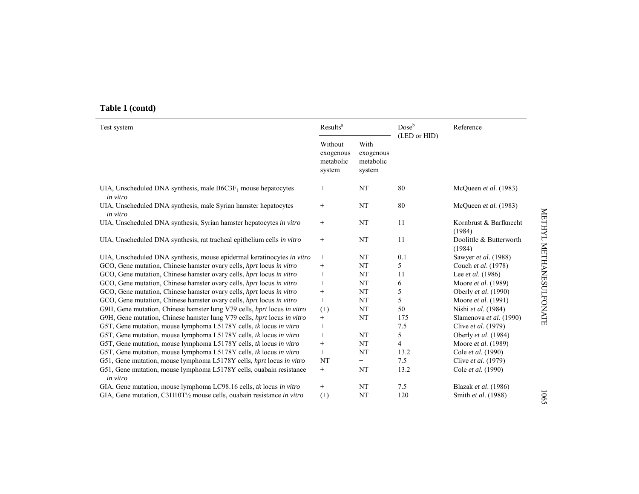# **Table 1 (contd)**

| Test system                                                                     | Results <sup>a</sup>                        |                                          | Doseb          | Reference                         |
|---------------------------------------------------------------------------------|---------------------------------------------|------------------------------------------|----------------|-----------------------------------|
|                                                                                 | Without<br>exogenous<br>metabolic<br>system | With<br>exogenous<br>metabolic<br>system | (LED or HID)   |                                   |
| UIA, Unscheduled DNA synthesis, male $B6C3F_1$ mouse hepatocytes<br>in vitro    | $\! + \!\!\!\!$                             | NT                                       | 80             | McQueen et al. (1983)             |
| UIA, Unscheduled DNA synthesis, male Syrian hamster hepatocytes<br>in vitro     | $\! + \!\!\!\!$                             | NT                                       | 80             | McQueen et al. (1983)             |
| UIA, Unscheduled DNA synthesis, Syrian hamster hepatocytes in vitro             | $\! + \!\!\!\!$                             | NT                                       | 11             | Kornbrust & Barfknecht<br>(1984)  |
| UIA, Unscheduled DNA synthesis, rat tracheal epithelium cells in vitro          | $\! + \!\!\!\!$                             | NT                                       | 11             | Doolittle & Butterworth<br>(1984) |
| UIA, Unscheduled DNA synthesis, mouse epidermal keratinocytes in vitro          |                                             | NT                                       | 0.1            | Sawyer et al. (1988)              |
| GCO, Gene mutation, Chinese hamster ovary cells, hprt locus in vitro            | $+$                                         | NT                                       | 5              | Couch et al. (1978)               |
| GCO, Gene mutation, Chinese hamster ovary cells, hprt locus in vitro            | $^{+}$                                      | NT                                       | 11             | Lee et al. (1986)                 |
| GCO, Gene mutation, Chinese hamster ovary cells, hprt locus in vitro            | $\! + \!\!\!\!$                             | NT                                       | 6              | Moore et al. (1989)               |
| GCO, Gene mutation, Chinese hamster ovary cells, hprt locus in vitro            | $+$                                         | NT                                       | 5              | Oberly et al. (1990)              |
| GCO, Gene mutation, Chinese hamster ovary cells, hprt locus in vitro            | $^{+}$                                      | NT                                       | 5              | Moore et al. (1991)               |
| G9H, Gene mutation, Chinese hamster lung V79 cells, hprt locus in vitro         | $^{(+)}$                                    | NT                                       | 50             | Nishi et al. (1984)               |
| G9H, Gene mutation, Chinese hamster lung V79 cells, hprt locus in vitro         | $^{+}$                                      | NT                                       | 175            | Slamenova et al. (1990)           |
| G5T, Gene mutation, mouse lymphoma L5178Y cells, tk locus in vitro              | $^{+}$                                      | $^{+}$                                   | 7.5            | Clive et al. (1979)               |
| G5T, Gene mutation, mouse lymphoma L5178Y cells, tk locus in vitro              | $+$                                         | NT                                       | 5              | Oberly et al. (1984)              |
| G5T, Gene mutation, mouse lymphoma L5178Y cells, tk locus in vitro              | $+$                                         | NT                                       | $\overline{4}$ | Moore et al. (1989)               |
| G5T, Gene mutation, mouse lymphoma L5178Y cells, tk locus in vitro              | $\! + \!\!\!\!$                             | NT                                       | 13.2           | Cole et al. (1990)                |
| G51, Gene mutation, mouse lymphoma L5178Y cells, hprt locus in vitro            | NT                                          | $^{+}$                                   | 7.5            | Clive et al. (1979)               |
| G51, Gene mutation, mouse lymphoma L5178Y cells, ouabain resistance<br>in vitro | $+$                                         | NT                                       | 13.2           | Cole et al. (1990)                |
| GIA, Gene mutation, mouse lymphoma LC98.16 cells, tk locus in vitro             | $\! + \!\!\!\!$                             | NT                                       | 7.5            | Blazak et al. (1986)              |
| GIA, Gene mutation, C3H10T1/2 mouse cells, ouabain resistance in vitro          | $^{(+)}$                                    | NT                                       | 120            | Smith et al. (1988)               |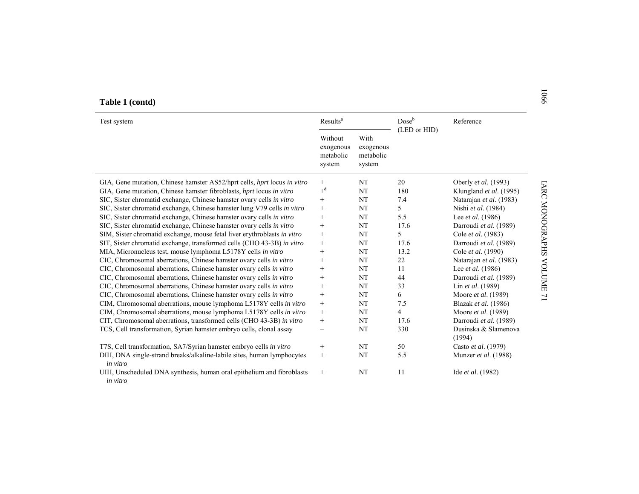|  | Table 1 (contd) |
|--|-----------------|
|  |                 |

| Test system                                                                        | Results <sup>a</sup>                        |                                          | Dose <sup>b</sup> | Reference                      |
|------------------------------------------------------------------------------------|---------------------------------------------|------------------------------------------|-------------------|--------------------------------|
|                                                                                    | Without<br>exogenous<br>metabolic<br>system | With<br>exogenous<br>metabolic<br>system | (LED or HID)      |                                |
| GIA, Gene mutation, Chinese hamster AS52/hprt cells, hprt locus in vitro           | $^{+}$                                      | NT                                       | 20                | Oberly et al. (1993)           |
| GIA, Gene mutation, Chinese hamster fibroblasts, hprt locus in vitro               | $+^d$                                       | NT                                       | 180               | Klungland et al. (1995)        |
| SIC, Sister chromatid exchange, Chinese hamster ovary cells in vitro               | $+$                                         | NT                                       | 7.4               | Natarajan et al. (1983)        |
| SIC, Sister chromatid exchange, Chinese hamster lung V79 cells in vitro            | $^+$                                        | NT                                       | 5                 | Nishi et al. (1984)            |
| SIC, Sister chromatid exchange, Chinese hamster ovary cells in vitro               | $^{+}$                                      | NT                                       | 5.5               | Lee et al. (1986)              |
| SIC, Sister chromatid exchange, Chinese hamster ovary cells in vitro               | $\! + \!\!\!\!$                             | NT                                       | 17.6              | Darroudi et al. (1989)         |
| SIM, Sister chromatid exchange, mouse fetal liver erythroblasts in vitro           | $\! + \!\!\!\!$                             | NT                                       | 5                 | Cole et al. (1983)             |
| SIT, Sister chromatid exchange, transformed cells (CHO 43-3B) in vitro             | $\! + \!\!\!\!$                             | NT                                       | 17.6              | Darroudi et al. (1989)         |
| MIA, Micronucleus test, mouse lymphoma L5178Y cells in vitro                       | $\! + \!\!\!\!$                             | <b>NT</b>                                | 13.2              | Cole et al. (1990)             |
| CIC, Chromosomal aberrations, Chinese hamster ovary cells in vitro                 | $^{+}$                                      | NT                                       | 22                | Natarajan et al. (1983)        |
| CIC, Chromosomal aberrations, Chinese hamster ovary cells in vitro                 | $^{+}$                                      | NT                                       | 11                | Lee <i>et al.</i> $(1986)$     |
| CIC, Chromosomal aberrations, Chinese hamster ovary cells in vitro                 |                                             | NT                                       | 44                | Darroudi et al. (1989)         |
| CIC, Chromosomal aberrations, Chinese hamster ovary cells in vitro                 | $^{+}$                                      | NT                                       | 33                | Lin et al. (1989)              |
| CIC, Chromosomal aberrations, Chinese hamster ovary cells in vitro                 | $+$                                         | NT                                       | 6                 | Moore et al. (1989)            |
| CIM, Chromosomal aberrations, mouse lymphoma L5178Y cells in vitro                 | $\! + \!\!\!\!$                             | NT                                       | 7.5               | Blazak et al. (1986)           |
| CIM, Chromosomal aberrations, mouse lymphoma L5178Y cells in vitro                 | $+$                                         | <b>NT</b>                                | $\overline{4}$    | Moore et al. (1989)            |
| CIT, Chromosomal aberrations, transformed cells (CHO 43-3B) in vitro               | $+$                                         | NT                                       | 17.6              | Darroudi et al. (1989)         |
| TCS, Cell transformation, Syrian hamster embryo cells, clonal assay                | $\overline{\phantom{0}}$                    | NT                                       | 330               | Dusinska & Slamenova<br>(1994) |
| T7S, Cell transformation, SA7/Syrian hamster embryo cells in vitro                 | $\qquad \qquad +$                           | NT                                       | 50                | Casto et al. (1979)            |
| DIH, DNA single-strand breaks/alkaline-labile sites, human lymphocytes<br>in vitro | $^{+}$                                      | NT                                       | 5.5               | Munzer et al. (1988)           |
| UIH, Unscheduled DNA synthesis, human oral epithelium and fibroblasts<br>in vitro  | $\qquad \qquad +$                           | NT                                       | 11                | Ide et al. (1982)              |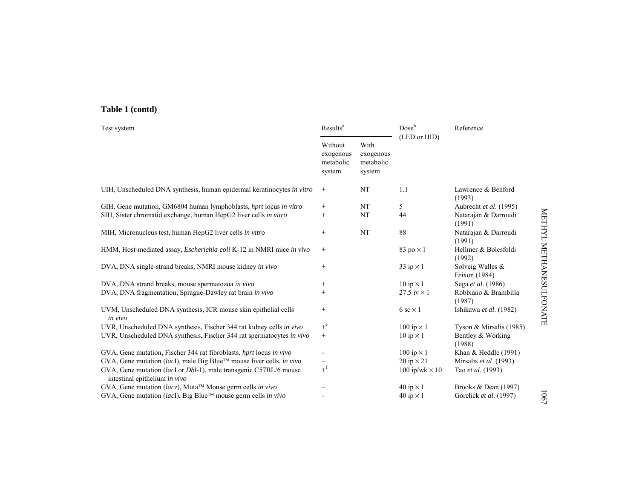# **Table 1 (contd)**

| Test system                                                                                        | Results <sup>a</sup>                        |                                          | $Dose^b$<br>(LED or HID) | Reference                         |                         |
|----------------------------------------------------------------------------------------------------|---------------------------------------------|------------------------------------------|--------------------------|-----------------------------------|-------------------------|
|                                                                                                    | Without<br>exogenous<br>metabolic<br>system | With<br>exogenous<br>metabolic<br>system |                          |                                   |                         |
| UIH, Unscheduled DNA synthesis, human epidermal keratinocytes in vitro                             | $\begin{array}{c} + \end{array}$            | NT                                       | 1.1                      | Lawrence & Benford<br>(1993)      |                         |
| GIH, Gene mutation, GM6804 human lymphoblasts, hprt locus in vitro                                 | $^{+}$                                      | NT                                       | 5                        | Aubrecht et al. (1995)            |                         |
| SIH, Sister chromatid exchange, human HepG2 liver cells in vitro                                   | $^{+}$                                      | NT                                       | 44                       | Natarajan & Darroudi<br>(1991)    | METHYL METHANESULFONATE |
| MIH, Micronucleus test, human HepG2 liver cells in vitro                                           | $^{+}$                                      | NT                                       | 88                       | Natarajan & Darroudi<br>(1991)    |                         |
| HMM, Host-mediated assay, <i>Escherichia coli</i> K-12 in NMRI mice in vivo                        | $\! + \!\!\!\!$                             |                                          | 83 po $\times$ 1         | Hellmer & Bolcsfoldi<br>(1992)    |                         |
| DVA, DNA single-strand breaks, NMRI mouse kidney in vivo                                           | $+$                                         |                                          | 33 ip $\times$ 1         | Solveig Walles &<br>Erixon (1984) |                         |
| DVA, DNA strand breaks, mouse spermatozoa in vivo                                                  | $^{+}$                                      |                                          | $10$ ip $\times 1$       | Sega et al. (1986)                |                         |
| DVA, DNA fragmentation, Sprague-Dawley rat brain in vivo                                           | $^+$                                        |                                          | 27.5 iv $\times$ 1       | Robbiano & Brambilla<br>(1987)    |                         |
| UVM, Unscheduled DNA synthesis, ICR mouse skin epithelial cells<br>in vivo                         | $\! + \!\!\!\!$                             |                                          | 6 sc $\times$ 1          | Ishikawa et al. (1982)            |                         |
| UVR, Unscheduled DNA synthesis, Fischer 344 rat kidney cells in vivo                               | $+^e$                                       |                                          | $100$ ip $\times$ 1      | Tyson & Mirsalis (1985)           |                         |
| UVR, Unscheduled DNA synthesis, Fischer 344 rat spermatocytes in vivo                              | $^{+}$                                      |                                          | $10$ ip $\times$ 1       | Bentley & Working<br>(1988)       |                         |
| GVA, Gene mutation, Fischer 344 rat fibroblasts, hprt locus in vivo                                |                                             |                                          | $100$ ip $\times 1$      | Khan $&$ Heddle (1991)            |                         |
| GVA, Gene mutation (lacI), male Big Blue™ mouse liver cells, in vivo                               | $\overline{\phantom{0}}$                    |                                          | $20$ ip $\times 21$      | Mirsalis et al. (1993)            |                         |
| GVA, Gene mutation (lacI or Dbl-1), male transgenic C57BL/6 mouse<br>intestinal epithelium in vivo | $+^{\rm f}$                                 |                                          | 100 ip/wk $\times$ 10    | Tao et al. (1993)                 |                         |
| GVA, Gene mutation (lacz), Muta™ Mouse germ cells in vivo                                          |                                             |                                          | 40 ip $\times$ 1         | Brooks & Dean (1997)              |                         |
| $GVA$ , Gene mutation ( <i>lacI</i> ), Big Blue <sup>TM</sup> mouse germ cells in vivo             |                                             |                                          | 40 ip $\times$ 1         | Gorelick et al. (1997)            | 1901                    |

METHYL METHANESULFONATE METHYL METHANESULFONATE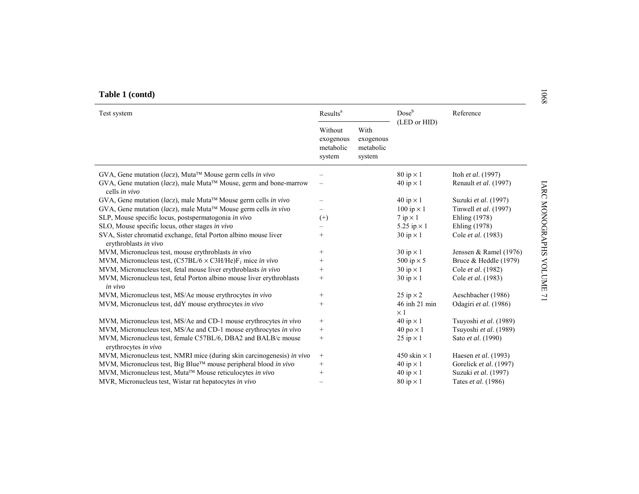| Table 1 (contd)                                                                                    |                                             |                                          |                             |                            | 8901                   |
|----------------------------------------------------------------------------------------------------|---------------------------------------------|------------------------------------------|-----------------------------|----------------------------|------------------------|
| Test system                                                                                        | Results <sup>a</sup>                        |                                          | Doseb<br>(LED or HID)       | Reference                  |                        |
|                                                                                                    | Without<br>exogenous<br>metabolic<br>system | With<br>exogenous<br>metabolic<br>system |                             |                            |                        |
| $GVA$ , Gene mutation (lacz), Muta <sup>TM</sup> Mouse germ cells in vivo                          |                                             |                                          | $80$ ip $\times$ 1          | Itoh et al. (1997)         |                        |
| $GVA$ , Gene mutation (lacz), male Muta <sup>TM</sup> Mouse, germ and bone-marrow<br>cells in vivo |                                             |                                          | 40 ip $\times$ 1            | Renault et al. (1997)      |                        |
| $GVA$ , Gene mutation (lacz), male Muta <sup>TM</sup> Mouse germ cells in vivo                     |                                             |                                          | 40 ip $\times$ 1            | Suzuki et al. (1997)       |                        |
| $GVA$ , Gene mutation (lacz), male Muta <sup>TM</sup> Mouse germ cells in vivo                     |                                             |                                          | 100 ip $\times$ 1           | Tinwell et al. (1997)      |                        |
| SLP, Mouse specific locus, postspermatogonia in vivo                                               | $^{(+)}$                                    |                                          | $7$ ip $\times$ 1           | Ehling (1978)              |                        |
| SLO, Mouse specific locus, other stages in vivo                                                    |                                             |                                          | 5.25 ip $\times$ 1          | Ehling (1978)              |                        |
| SVA, Sister chromatid exchange, fetal Porton albino mouse liver<br>erythroblasts in vivo           | $^{+}$                                      |                                          | $30$ ip $\times 1$          | Cole et al. (1983)         | <b>LARC MONOGRAPHS</b> |
| MVM, Micronucleus test, mouse erythroblasts in vivo                                                | $^{+}$                                      |                                          | $30$ ip $\times$ 1          | Jenssen & Ramel (1976)     |                        |
| MVM, Micronucleus test, $(C57BL/6 \times C3H/He)F_1$ mice in vivo                                  | $^{+}$                                      |                                          | 500 ip $\times$ 5           | Bruce & Heddle (1979)      |                        |
| MVM, Micronucleus test, fetal mouse liver erythroblasts in vivo                                    | $^{+}$                                      |                                          | $30$ ip $\times 1$          | Cole et al. (1982)         |                        |
| MVM, Micronucleus test, fetal Porton albino mouse liver erythroblasts<br>in vivo                   | $^{+}$                                      |                                          | $30$ ip $\times 1$          | Cole et al. (1983)         | <b>AOLUME</b>          |
| MVM, Micronucleus test, MS/Ae mouse erythrocytes in vivo                                           | $^{+}$                                      |                                          | 25 ip $\times$ 2            | Aeschbacher (1986)         | $\overline{L}$         |
| MVM, Micronucleus test, ddY mouse erythrocytes in vivo                                             | $^{+}$                                      |                                          | 46 inh 21 min<br>$\times 1$ | Odagiri et al. (1986)      |                        |
| MVM, Micronucleus test, MS/Ae and CD-1 mouse erythrocytes in vivo                                  | $^{+}$                                      |                                          | 40 ip $\times$ 1            | Tsuyoshi et al. (1989)     |                        |
| MVM, Micronucleus test, MS/Ae and CD-1 mouse erythrocytes in vivo                                  | $^{+}$                                      |                                          | $40 \text{ po} \times 1$    | Tsuyoshi et al. (1989)     |                        |
| MVM, Micronucleus test, female C57BL/6, DBA2 and BALB/c mouse<br>erythrocytes in vivo              | $\! + \!\!\!\!$                             |                                          | 25 ip $\times$ 1            | Sato et al. (1990)         |                        |
| MVM, Micronucleus test, NMRI mice (during skin carcinogenesis) in vivo                             | $^{+}$                                      |                                          | 450 skin $\times$ 1         | Haesen et al. (1993)       |                        |
| MVM, Micronucleus test, Big Blue™ mouse peripheral blood in vivo                                   | $^{+}$                                      |                                          | 40 ip $\times$ 1            | Gorelick et al. (1997)     |                        |
| MVM, Micronucleus test, Muta™ Mouse reticulocytes in vivo                                          | $^{+}$                                      |                                          | 40 ip $\times$ 1            | Suzuki et al. (1997)       |                        |
| MVR, Micronucleus test, Wistar rat hepatocytes in vivo                                             |                                             |                                          | $80$ ip $\times$ 1          | Tates <i>et al.</i> (1986) |                        |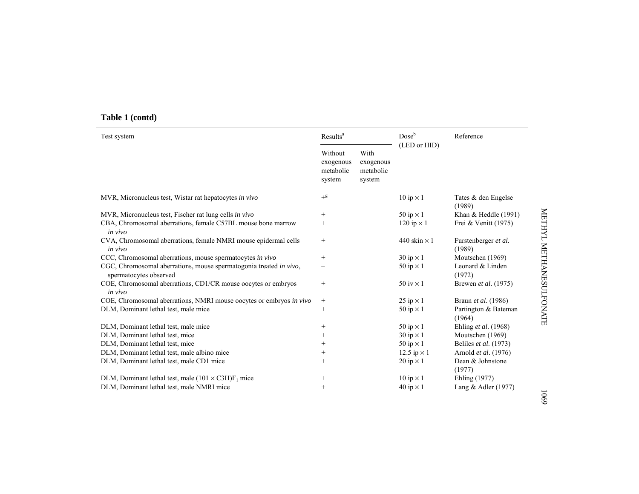| Table 1 (contd) |  |
|-----------------|--|
|-----------------|--|

| Test system                                                                                  |                                             | Results <sup>a</sup>                     |                     | Reference                      |
|----------------------------------------------------------------------------------------------|---------------------------------------------|------------------------------------------|---------------------|--------------------------------|
|                                                                                              | Without<br>exogenous<br>metabolic<br>system | With<br>exogenous<br>metabolic<br>system | (LED or HID)        |                                |
| MVR, Micronucleus test, Wistar rat hepatocytes in vivo                                       | $+$ g                                       |                                          | $10$ ip $\times 1$  | Tates & den Engelse<br>(1989)  |
| MVR, Micronucleus test, Fischer rat lung cells in vivo                                       | $\! + \!\!\!\!$                             |                                          | 50 ip $\times$ 1    | Khan & Heddle (1991)           |
| CBA, Chromosomal aberrations, female C57BL mouse bone marrow<br>in vivo                      | $^{+}$                                      |                                          | 120 ip $\times$ 1   | Frei & Venitt $(1975)$         |
| CVA, Chromosomal aberrations, female NMRI mouse epidermal cells<br>in vivo                   | $^{+}$                                      |                                          | 440 skin $\times$ 1 | Furstenberger et al.<br>(1989) |
| CCC, Chromosomal aberrations, mouse spermatocytes in vivo                                    | $\! + \!\!\!\!$                             |                                          | $30$ ip $\times$ 1  | Moutschen (1969)               |
| CGC, Chromosomal aberrations, mouse spermatogonia treated in vivo,<br>spermatocytes observed |                                             |                                          | 50 ip $\times$ 1    | Leonard & Linden<br>(1972)     |
| COE, Chromosomal aberrations, CD1/CR mouse oocytes or embryos<br>in vivo                     | $^{+}$                                      |                                          | $50$ iv $\times$ 1  | Brewen et al. (1975)           |
| COE, Chromosomal aberrations, NMRI mouse oocytes or embryos in vivo                          | $^{+}$                                      |                                          | 25 ip $\times$ 1    | Braun et al. (1986)            |
| DLM, Dominant lethal test, male mice                                                         | $^+$                                        |                                          | 50 ip $\times$ 1    | Partington & Bateman<br>(1964) |
| DLM, Dominant lethal test, male mice                                                         | $^+$                                        |                                          | 50 ip $\times$ 1    | Ehling et al. (1968)           |
| DLM, Dominant lethal test, mice                                                              | $^{+}$                                      |                                          | $30$ ip $\times 1$  | Moutschen (1969)               |
| DLM, Dominant lethal test, mice                                                              | $^+$                                        |                                          | 50 ip $\times$ 1    | Beliles et al. (1973)          |
| DLM, Dominant lethal test, male albino mice                                                  | $^{+}$                                      |                                          | 12.5 ip $\times$ 1  | Arnold et al. (1976)           |
| DLM, Dominant lethal test, male CD1 mice                                                     | $^{+}$                                      |                                          | $20$ ip $\times$ 1  | Dean & Johnstone<br>(1977)     |
| DLM, Dominant lethal test, male $(101 \times C3H)F_1$ mice                                   | $^{+}$                                      |                                          | $10$ ip $\times 1$  | Ehling (1977)                  |
| DLM, Dominant lethal test, male NMRI mice                                                    | $^{+}$                                      |                                          | $40$ ip $\times$ 1  | Lang & Adler $(1977)$          |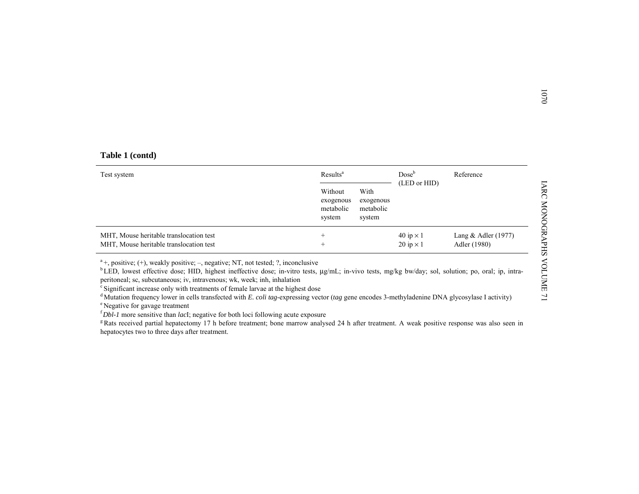| Table 1 (contd) |  |
|-----------------|--|
|-----------------|--|

| Table 1 (contd)                                                                                                                                                                                                                                                                                                                                                                                                                                                                                                                                                                                               |                                             |                                          |                                        |                                       |
|---------------------------------------------------------------------------------------------------------------------------------------------------------------------------------------------------------------------------------------------------------------------------------------------------------------------------------------------------------------------------------------------------------------------------------------------------------------------------------------------------------------------------------------------------------------------------------------------------------------|---------------------------------------------|------------------------------------------|----------------------------------------|---------------------------------------|
| Test system                                                                                                                                                                                                                                                                                                                                                                                                                                                                                                                                                                                                   | Results <sup>a</sup>                        |                                          | $Dose^b$                               | Reference                             |
|                                                                                                                                                                                                                                                                                                                                                                                                                                                                                                                                                                                                               | Without<br>exogenous<br>metabolic<br>system | With<br>exogenous<br>metabolic<br>system | (LED or HID)                           |                                       |
| MHT, Mouse heritable translocation test<br>MHT, Mouse heritable translocation test                                                                                                                                                                                                                                                                                                                                                                                                                                                                                                                            | $^+$                                        |                                          | 40 ip $\times$ 1<br>$20$ ip $\times$ 1 | Lang $&$ Adler (1977)<br>Adler (1980) |
| $a$ <sup>4</sup> +, positive; (+), weakly positive; -, negative; NT, not tested; ?, inconclusive<br><sup>b</sup> LED, lowest effective dose; HID, highest ineffective dose; in-vitro tests, µg/mL; in-vivo tests, mg/kg bw/day; sol, solution; po, oral; ip, intra-<br>peritoneal; sc, subcutaneous; iv, intravenous; wk, week; inh, inhalation<br><sup>c</sup> Significant increase only with treatments of female larvae at the highest dose<br><sup>d</sup> Mutation frequency lower in cells transfected with E. coli tag-expressing vector (tag gene encodes 3-methyladenine DNA glycosylase I activity) |                                             |                                          |                                        |                                       |

e Negative for gavage treatment

<sup>f</sup>*Dbl-1* more sensitive than *lac*I; negative for both loci following acute exposure

<sup>g</sup> Rats received partial hepatectomy 17 h before treatment; bone marrow analysed 24 h after treatment. A weak positive response was also seen in hepatocytes two to three days after treatment.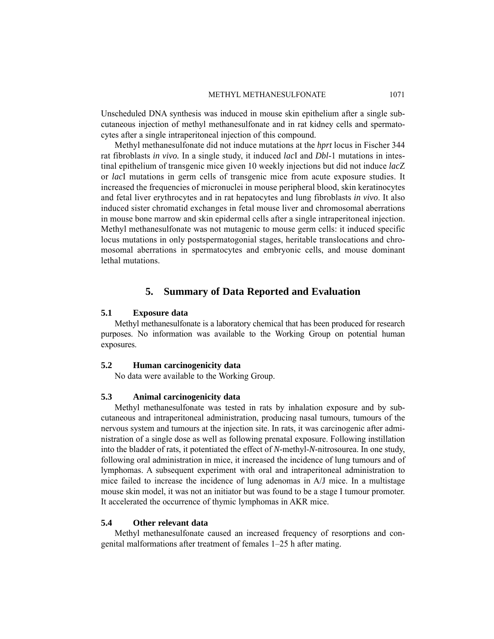#### METHYL METHANESULFONATE 1071

Unscheduled DNA synthesis was induced in mouse skin epithelium after a single subcutaneous injection of methyl methanesulfonate and in rat kidney cells and spermatocytes after a single intraperitoneal injection of this compound.

Methyl methanesulfonate did not induce mutations at the *hprt* locus in Fischer 344 rat fibroblasts *in vivo.* In a single study, it induced *lac*I and *Dbl*-1 mutations in intestinal epithelium of transgenic mice given 10 weekly injections but did not induce *lac*Z or *lac*I mutations in germ cells of transgenic mice from acute exposure studies. It increased the frequencies of micronuclei in mouse peripheral blood, skin keratinocytes and fetal liver erythrocytes and in rat hepatocytes and lung fibroblasts *in vivo*. It also induced sister chromatid exchanges in fetal mouse liver and chromosomal aberrations in mouse bone marrow and skin epidermal cells after a single intraperitoneal injection. Methyl methanesulfonate was not mutagenic to mouse germ cells: it induced specific locus mutations in only postspermatogonial stages, heritable translocations and chromosomal aberrations in spermatocytes and embryonic cells, and mouse dominant lethal mutations.

## **5. Summary of Data Reported and Evaluation**

#### **5.1 Exposure data**

Methyl methanesulfonate is a laboratory chemical that has been produced for research purposes. No information was available to the Working Group on potential human exposures.

#### **5.2 Human carcinogenicity data**

No data were available to the Working Group.

## **5.3 Animal carcinogenicity data**

Methyl methanesulfonate was tested in rats by inhalation exposure and by subcutaneous and intraperitoneal administration, producing nasal tumours, tumours of the nervous system and tumours at the injection site. In rats, it was carcinogenic after administration of a single dose as well as following prenatal exposure. Following instillation into the bladder of rats, it potentiated the effect of *N*-methyl-*N*-nitrosourea. In one study, following oral administration in mice, it increased the incidence of lung tumours and of lymphomas. A subsequent experiment with oral and intraperitoneal administration to mice failed to increase the incidence of lung adenomas in A/J mice. In a multistage mouse skin model, it was not an initiator but was found to be a stage I tumour promoter. It accelerated the occurrence of thymic lymphomas in AKR mice.

## **5.4 Other relevant data**

Methyl methanesulfonate caused an increased frequency of resorptions and congenital malformations after treatment of females 1–25 h after mating.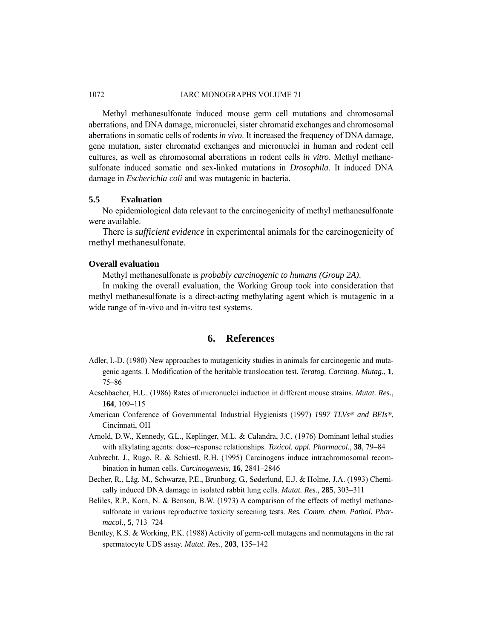Methyl methanesulfonate induced mouse germ cell mutations and chromosomal aberrations, and DNA damage, micronuclei, sister chromatid exchanges and chromosomal aberrations in somatic cells of rodents *in vivo*. It increased the frequency of DNA damage, gene mutation, sister chromatid exchanges and micronuclei in human and rodent cell cultures, as well as chromosomal aberrations in rodent cells *in vitro*. Methyl methanesulfonate induced somatic and sex-linked mutations in *Drosophila.* It induced DNA damage in *Escherichia coli* and was mutagenic in bacteria.

## **5.5 Evaluation**

No epidemiological data relevant to the carcinogenicity of methyl methanesulfonate were available.

There is *sufficient evidence* in experimental animals for the carcinogenicity of methyl methanesulfonate.

### **Overall evaluation**

Methyl methanesulfonate is *probably carcinogenic to humans (Group 2A)*.

In making the overall evaluation, the Working Group took into consideration that methyl methanesulfonate is a direct-acting methylating agent which is mutagenic in a wide range of in-vivo and in-vitro test systems.

# **6. References**

- Adler, I.-D. (1980) New approaches to mutagenicity studies in animals for carcinogenic and mutagenic agents. I. Modification of the heritable translocation test. *Teratog. Carcinog. Mutag.*, **1**, 75–86
- Aeschbacher, H.U. (1986) Rates of micronuclei induction in different mouse strains. *Mutat. Res.*, **164**, 109–115
- American Conference of Governmental Industrial Hygienists (1997) *1997 TLVs*® *and BEIs*®, Cincinnati, OH
- Arnold, D.W., Kennedy, G.L., Keplinger, M.L. & Calandra, J.C. (1976) Dominant lethal studies with alkylating agents: dose–response relationships. *Toxicol. appl. Pharmacol.*, **38**, 79–84
- Aubrecht, J., Rugo, R. & Schiestl, R.H. (1995) Carcinogens induce intrachromosomal recombination in human cells. *Carcinogenesis*, **16**, 2841–2846
- Becher, R., Låg, M., Schwarze, P.E., Brunborg, G., Søderlund, E.J. & Holme, J.A. (1993) Chemically induced DNA damage in isolated rabbit lung cells. *Mutat. Res.*, **285**, 303–311
- Beliles, R.P., Korn, N. & Benson, B.W. (1973) A comparison of the effects of methyl methanesulfonate in various reproductive toxicity screening tests. *Res. Comm. chem. Pathol. Pharmacol.*, **5**, 713–724
- Bentley, K.S. & Working, P.K. (1988) Activity of germ-cell mutagens and nonmutagens in the rat spermatocyte UDS assay. *Mutat. Res.*, **203**, 135–142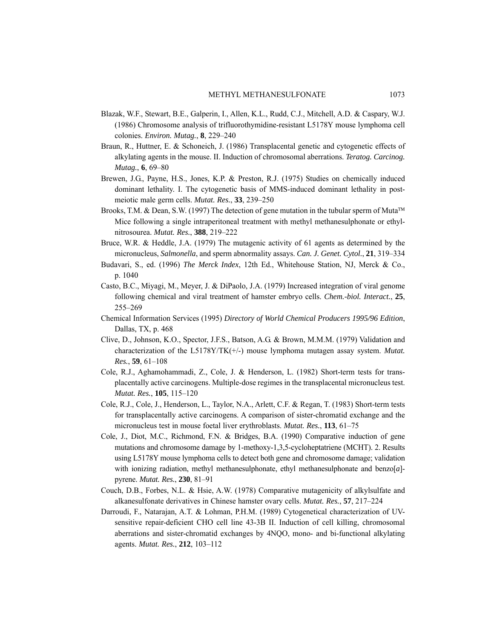- Blazak, W.F., Stewart, B.E., Galperin, I., Allen, K.L., Rudd, C.J., Mitchell, A.D. & Caspary, W.J. (1986) Chromosome analysis of trifluorothymidine-resistant L5178Y mouse lymphoma cell colonies. *Environ. Mutag.*, **8**, 229–240
- Braun, R., Huttner, E. & Schoneich, J. (1986) Transplacental genetic and cytogenetic effects of alkylating agents in the mouse. II. Induction of chromosomal aberrations. *Teratog. Carcinog. Mutag.*, **6**, 69–80
- Brewen, J.G., Payne, H.S., Jones, K.P. & Preston, R.J. (1975) Studies on chemically induced dominant lethality. I. The cytogenetic basis of MMS-induced dominant lethality in postmeiotic male germ cells. *Mutat. Res.*, **33**, 239–250
- Brooks, T.M. & Dean, S.W. (1997) The detection of gene mutation in the tubular sperm of Muta™ Mice following a single intraperitoneal treatment with methyl methanesulphonate or ethylnitrosourea. *Mutat. Res.*, **388**, 219–222
- Bruce, W.R. & Heddle, J.A. (1979) The mutagenic activity of 61 agents as determined by the micronucleus, *Salmonella*, and sperm abnormality assays. *Can. J. Genet. Cytol.*, **21**, 319–334
- Budavari, S., ed. (1996) *The Merck Index*, 12th Ed., Whitehouse Station, NJ, Merck & Co., p. 1040
- Casto, B.C., Miyagi, M., Meyer, J. & DiPaolo, J.A. (1979) Increased integration of viral genome following chemical and viral treatment of hamster embryo cells. *Chem.-biol. Interact.*, **25**, 255–269
- Chemical Information Services (1995) *Directory of World Chemical Producers 1995/96 Edition*, Dallas, TX, p. 468
- Clive, D., Johnson, K.O., Spector, J.F.S., Batson, A.G. & Brown, M.M.M. (1979) Validation and characterization of the L5178Y/TK(+/-) mouse lymphoma mutagen assay system. *Mutat. Res.*, **59**, 61–108
- Cole, R.J., Aghamohammadi, Z., Cole, J. & Henderson, L. (1982) Short-term tests for transplacentally active carcinogens. Multiple-dose regimes in the transplacental micronucleus test. *Mutat. Res.*, **105**, 115–120
- Cole, R.J., Cole, J., Henderson, L., Taylor, N.A., Arlett, C.F. & Regan, T. (1983) Short-term tests for transplacentally active carcinogens. A comparison of sister-chromatid exchange and the micronucleus test in mouse foetal liver erythroblasts. *Mutat. Res.*, **113**, 61–75
- Cole, J., Diot, M.C., Richmond, F.N. & Bridges, B.A. (1990) Comparative induction of gene mutations and chromosome damage by 1-methoxy-1,3,5-cycloheptatriene (MCHT). 2. Results using L5178Y mouse lymphoma cells to detect both gene and chromosome damage; validation with ionizing radiation, methyl methanesulphonate, ethyl methanesulphonate and benzo[*a*] pyrene. *Mutat. Res.*, **230**, 81–91
- Couch, D.B., Forbes, N.L. & Hsie, A.W. (1978) Comparative mutagenicity of alkylsulfate and alkanesulfonate derivatives in Chinese hamster ovary cells. *Mutat. Res.*, **57**, 217–224
- Darroudi, F., Natarajan, A.T. & Lohman, P.H.M. (1989) Cytogenetical characterization of UVsensitive repair-deficient CHO cell line 43-3B II. Induction of cell killing, chromosomal aberrations and sister-chromatid exchanges by 4NQO, mono- and bi-functional alkylating agents. *Mutat. Res.*, **212**, 103–112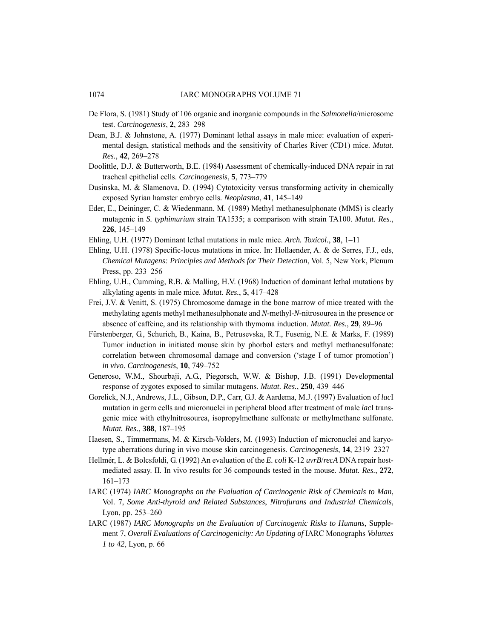- De Flora, S. (1981) Study of 106 organic and inorganic compounds in the *Salmonella*/microsome test. *Carcinogenesis*, **2**, 283–298
- Dean, B.J. & Johnstone, A. (1977) Dominant lethal assays in male mice: evaluation of experimental design, statistical methods and the sensitivity of Charles River (CD1) mice. *Mutat. Res.*, **42**, 269–278
- Doolittle, D.J. & Butterworth, B.E. (1984) Assessment of chemically-induced DNA repair in rat tracheal epithelial cells. *Carcinogenesis*, **5**, 773–779
- Dusinska, M. & Slamenova, D. (1994) Cytotoxicity versus transforming activity in chemically exposed Syrian hamster embryo cells. *Neoplasma*, **41**, 145–149
- Eder, E., Deininger, C. & Wiedenmann, M. (1989) Methyl methanesulphonate (MMS) is clearly mutagenic in *S. typhimurium* strain TA1535; a comparison with strain TA100. *Mutat. Res.*, **226**, 145–149
- Ehling, U.H. (1977) Dominant lethal mutations in male mice. *Arch. Toxicol.*, **38**, 1–11
- Ehling, U.H. (1978) Specific-locus mutations in mice. In: Hollaender, A. & de Serres, F.J., eds, *Chemical Mutagens: Principles and Methods for Their Detection*, Vol. 5, New York, Plenum Press, pp. 233–256
- Ehling, U.H., Cumming, R.B. & Malling, H.V. (1968) Induction of dominant lethal mutations by alkylating agents in male mice. *Mutat. Res.*, **5**, 417–428
- Frei, J.V. & Venitt, S. (1975) Chromosome damage in the bone marrow of mice treated with the methylating agents methyl methanesulphonate and *N*-methyl-*N*-nitrosourea in the presence or absence of caffeine, and its relationship with thymoma induction. *Mutat. Res.*, **29**, 89–96
- Fürstenberger, G., Schurich, B., Kaina, B., Petrusevska, R.T., Fusenig, N.E. & Marks, F. (1989) Tumor induction in initiated mouse skin by phorbol esters and methyl methanesulfonate: correlation between chromosomal damage and conversion ('stage I of tumor promotion') *in vivo*. *Carcinogenesis*, **10**, 749–752
- Generoso, W.M., Shourbaji, A.G., Piegorsch, W.W. & Bishop, J.B. (1991) Developmental response of zygotes exposed to similar mutagens. *Mutat. Res.*, **250**, 439–446
- Gorelick, N.J., Andrews, J.L., Gibson, D.P., Carr, G.J. & Aardema, M.J. (1997) Evaluation of *lac*I mutation in germ cells and micronuclei in peripheral blood after treatment of male *lac*I transgenic mice with ethylnitrosourea, isopropylmethane sulfonate or methylmethane sulfonate. *Mutat. Res.*, **388**, 187–195
- Haesen, S., Timmermans, M. & Kirsch-Volders, M. (1993) Induction of micronuclei and karyotype aberrations during in vivo mouse skin carcinogenesis. *Carcinogenesis*, **14**, 2319–2327
- Hellmér, L. & Bolcsfoldi, G. (1992) An evaluation of the *E. coli* K-12 *uvrB*/*recA* DNA repair hostmediated assay. II. In vivo results for 36 compounds tested in the mouse. *Mutat. Res.*, **272**, 161–173
- IARC (1974) *IARC Monographs on the Evaluation of Carcinogenic Risk of Chemicals to Man*, Vol. 7, *Some Anti-thyroid and Related Substances*, *Nitrofurans and Industrial Chemicals*, Lyon, pp. 253–260
- IARC (1987) *IARC Monographs on the Evaluation of Carcinogenic Risks to Humans*, Supplement 7, *Overall Evaluations of Carcinogenicity: An Updating of* IARC Monographs *Volumes 1 to 42*, Lyon, p. 66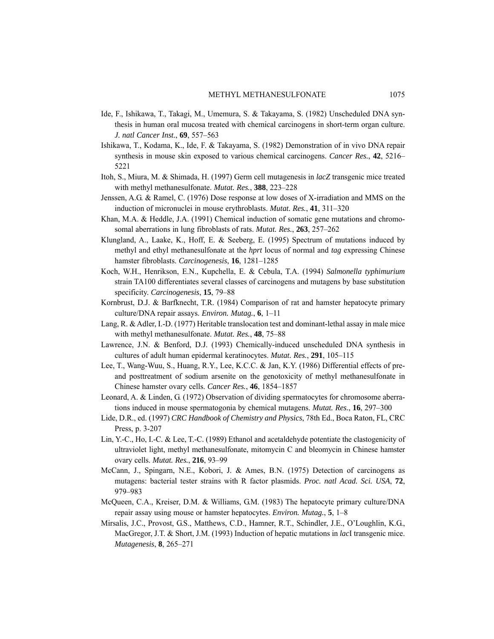- Ide, F., Ishikawa, T., Takagi, M., Umemura, S. & Takayama, S. (1982) Unscheduled DNA synthesis in human oral mucosa treated with chemical carcinogens in short-term organ culture. *J. natl Cancer Inst.*, **69**, 557–563
- Ishikawa, T., Kodama, K., Ide, F. & Takayama, S. (1982) Demonstration of in vivo DNA repair synthesis in mouse skin exposed to various chemical carcinogens. *Cancer Res.*, **42**, 5216– 5221
- Itoh, S., Miura, M. & Shimada, H. (1997) Germ cell mutagenesis in *lacZ* transgenic mice treated with methyl methanesulfonate. *Mutat. Res.*, **388**, 223–228
- Jenssen, A.G. & Ramel, C. (1976) Dose response at low doses of X-irradiation and MMS on the induction of micronuclei in mouse erythroblasts. *Mutat. Res.*, **41**, 311–320
- Khan, M.A. & Heddle, J.A. (1991) Chemical induction of somatic gene mutations and chromosomal aberrations in lung fibroblasts of rats. *Mutat. Res.*, **263**, 257–262
- Klungland, A., Laake, K., Hoff, E. & Seeberg, E. (1995) Spectrum of mutations induced by methyl and ethyl methanesulfonate at the *hprt* locus of normal and *tag* expressing Chinese hamster fibroblasts. *Carcinogenesis*, **16**, 1281–1285
- Koch, W.H., Henrikson, E.N., Kupchella, E. & Cebula, T.A. (1994) *Salmonella typhimurium* strain TA100 differentiates several classes of carcinogens and mutagens by base substitution specificity. *Carcinogenesis*, **15**, 79–88
- Kornbrust, D.J. & Barfknecht, T.R. (1984) Comparison of rat and hamster hepatocyte primary culture/DNA repair assays. *Environ. Mutag.*, **6**, 1–11
- Lang, R. & Adler, I.-D. (1977) Heritable translocation test and dominant-lethal assay in male mice with methyl methanesulfonate. *Mutat. Res.*, **48**, 75–88
- Lawrence, J.N. & Benford, D.J. (1993) Chemically-induced unscheduled DNA synthesis in cultures of adult human epidermal keratinocytes. *Mutat. Res.*, **291**, 105–115
- Lee, T., Wang-Wuu, S., Huang, R.Y., Lee, K.C.C. & Jan, K.Y. (1986) Differential effects of preand posttreatment of sodium arsenite on the genotoxicity of methyl methanesulfonate in Chinese hamster ovary cells. *Cancer Res.*, **46**, 1854–1857
- Leonard, A. & Linden, G. (1972) Observation of dividing spermatocytes for chromosome aberrations induced in mouse spermatogonia by chemical mutagens. *Mutat. Res.*, **16**, 297–300
- Lide, D.R., ed. (1997) *CRC Handbook of Chemistry and Physics*, 78th Ed., Boca Raton, FL, CRC Press, p. 3-207
- Lin, Y.-C., Ho, I.-C. & Lee, T.-C. (1989) Ethanol and acetaldehyde potentiate the clastogenicity of ultraviolet light, methyl methanesulfonate, mitomycin C and bleomycin in Chinese hamster ovary cells. *Mutat. Res.*, **216**, 93–99
- McCann, J., Spingarn, N.E., Kobori, J. & Ames, B.N. (1975) Detection of carcinogens as mutagens: bacterial tester strains with R factor plasmids. *Proc. natl Acad. Sci. USA*, **72**, 979–983
- McQueen, C.A., Kreiser, D.M. & Williams, G.M. (1983) The hepatocyte primary culture/DNA repair assay using mouse or hamster hepatocytes. *Environ. Mutag.*, **5**, 1–8
- Mirsalis, J.C., Provost, G.S., Matthews, C.D., Hamner, R.T., Schindler, J.E., O'Loughlin, K.G., MacGregor, J.T. & Short, J.M. (1993) Induction of hepatic mutations in *lac*I transgenic mice. *Mutagenesis*, **8**, 265–271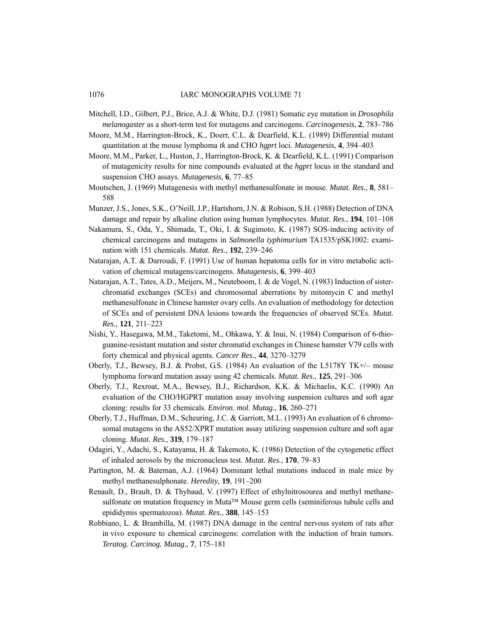- Mitchell, I.D., Gilbert, P.J., Brice, A.J. & White, D.J. (1981) Somatic eye mutation in *Drosophila melanogaster* as a short-term test for mutagens and carcinogens. *Carcinogenesis*, **2**, 783–786
- Moore, M.M., Harrington-Brock, K., Doerr, C.L. & Dearfield, K.L. (1989) Differential mutant quantitation at the mouse lymphoma *tk* and CHO *hgprt* loci. *Mutagenesis*, **4**, 394–403
- Moore, M.M., Parker, L., Huston, J., Harrington-Brock, K. & Dearfield, K.L. (1991) Comparison of mutagenicity results for nine compounds evaluated at the *hgprt* locus in the standard and suspension CHO assays. *Mutagenesis*, **6**, 77–85
- Moutschen, J. (1969) Mutagenesis with methyl methanesulfonate in mouse. *Mutat. Res.*, **8**, 581– 588
- Munzer, J.S., Jones, S.K., O'Neill, J.P., Hartshorn, J.N. & Robison, S.H. (1988) Detection of DNA damage and repair by alkaline elution using human lymphocytes. *Mutat. Res.*, **194**, 101–108
- Nakamura, S., Oda, Y., Shimada, T., Oki, I. & Sugimoto, K. (1987) SOS-inducing activity of chemical carcinogens and mutagens in *Salmonella typhimurium* TA1535/pSK1002: examination with 151 chemicals. *Mutat. Res.*, **192**, 239–246
- Natarajan, A.T. & Darroudi, F. (1991) Use of human hepatoma cells for in vitro metabolic activation of chemical mutagens/carcinogens. *Mutagenesis*, **6**, 399–403
- Natarajan, A.T., Tates, A.D., Meijers, M., Neuteboom, I. & de Vogel, N. (1983) Induction of sisterchromatid exchanges (SCEs) and chromosomal aberrations by mitomycin C and methyl methanesulfonate in Chinese hamster ovary cells. An evaluation of methodology for detection of SCEs and of persistent DNA lesions towards the frequencies of observed SCEs. *Mutat. Res.*, **121**, 211–223
- Nishi, Y., Hasegawa, M.M., Taketomi, M., Ohkawa, Y. & Inui, N. (1984) Comparison of 6-thioguanine-resistant mutation and sister chromatid exchanges in Chinese hamster V79 cells with forty chemical and physical agents. *Cancer Res.*, **44**, 3270–3279
- Oberly, T.J., Bewsey, B.J. & Probst, G.S. (1984) An evaluation of the L5178Y TK+/– mouse lymphoma forward mutation assay using 42 chemicals. *Mutat. Res.*, **125**, 291–306
- Oberly, T.J., Rexroat, M.A., Bewsey, B.J., Richardson, K.K. & Michaelis, K.C. (1990) An evaluation of the CHO/HGPRT mutation assay involving suspension cultures and soft agar cloning: results for 33 chemicals. *Environ. mol. Mutag.*, **16**, 260–271
- Oberly, T.J., Huffman, D.M., Scheuring, J.C. & Garriott, M.L. (1993) An evaluation of 6 chromosomal mutagens in the AS52/XPRT mutation assay utilizing suspension culture and soft agar cloning. *Mutat. Res.*, **319**, 179–187
- Odagiri, Y., Adachi, S., Katayama, H. & Takemoto, K. (1986) Detection of the cytogenetic effect of inhaled aerosols by the micronucleus test. *Mutat. Res.*, **170**, 79–83
- Partington, M. & Bateman, A.J. (1964) Dominant lethal mutations induced in male mice by methyl methanesulphonate. *Heredity*, **19**, 191–200
- Renault, D., Brault, D. & Thybaud, V. (1997) Effect of ethylnitrosourea and methyl methanesulfonate on mutation frequency in Muta™ Mouse germ cells (seminiferous tubule cells and epididymis spermatozoa). *Mutat. Res.*, **388**, 145–153
- Robbiano, L. & Brambilla, M. (1987) DNA damage in the central nervous system of rats after in vivo exposure to chemical carcinogens: correlation with the induction of brain tumors. *Teratog. Carcinog. Mutag.*, **7**, 175–181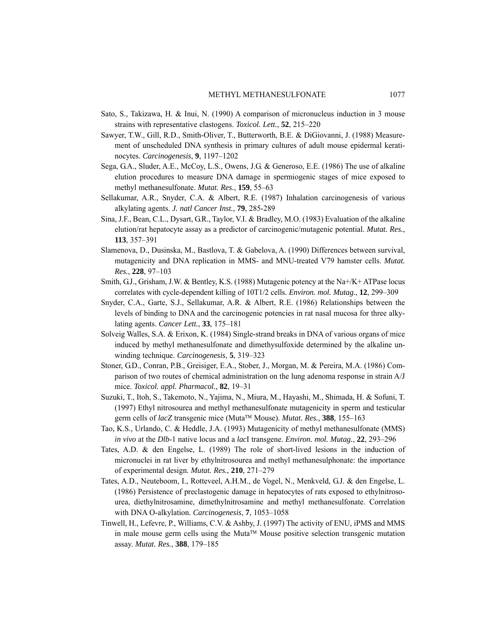- Sato, S., Takizawa, H. & Inui, N. (1990) A comparison of micronucleus induction in 3 mouse strains with representative clastogens. *Toxicol. Lett.*, **52**, 215–220
- Sawyer, T.W., Gill, R.D., Smith-Oliver, T., Butterworth, B.E. & DiGiovanni, J. (1988) Measurement of unscheduled DNA synthesis in primary cultures of adult mouse epidermal keratinocytes. *Carcinogenesis*, **9**, 1197–1202
- Sega, G.A., Sluder, A.E., McCoy, L.S., Owens, J.G. & Generoso, E.E. (1986) The use of alkaline elution procedures to measure DNA damage in spermiogenic stages of mice exposed to methyl methanesulfonate. *Mutat. Res.*, **159**, 55–63
- Sellakumar, A.R., Snyder, C.A. & Albert, R.E. (1987) Inhalation carcinogenesis of various alkylating agents. *J. natl Cancer Inst.*, **79**, 285-289
- Sina, J.F., Bean, C.L., Dysart, G.R., Taylor, V.I. & Bradley, M.O. (1983) Evaluation of the alkaline elution/rat hepatocyte assay as a predictor of carcinogenic/mutagenic potential. *Mutat. Res.*, **113**, 357–391
- Slamenova, D., Dusinska, M., Bastlova, T. & Gabelova, A. (1990) Differences between survival, mutagenicity and DNA replication in MMS- and MNU-treated V79 hamster cells. *Mutat. Res.*, **228**, 97–103
- Smith, G.J., Grisham, J.W. & Bentley, K.S. (1988) Mutagenic potency at the Na+/K+ ATPase locus correlates with cycle-dependent killing of 10T1/2 cells. *Environ. mol. Mutag.*, **12**, 299–309
- Snyder, C.A., Garte, S.J., Sellakumar, A.R. & Albert, R.E. (1986) Relationships between the levels of binding to DNA and the carcinogenic potencies in rat nasal mucosa for three alkylating agents. *Cancer Lett.*, **33**, 175–181
- Solveig Walles, S.A. & Erixon, K. (1984) Single-strand breaks in DNA of various organs of mice induced by methyl methanesulfonate and dimethysulfoxide determined by the alkaline unwinding technique. *Carcinogenesis*, **5**, 319–323
- Stoner, G.D., Conran, P.B., Greisiger, E.A., Stober, J., Morgan, M. & Pereira, M.A. (1986) Comparison of two routes of chemical administration on the lung adenoma response in strain A/J mice. *Toxicol. appl. Pharmacol.*, **82**, 19–31
- Suzuki, T., Itoh, S., Takemoto, N., Yajima, N., Miura, M., Hayashi, M., Shimada, H. & Sofuni, T. (1997) Ethyl nitrosourea and methyl methanesulfonate mutagenicity in sperm and testicular germ cells of *lacZ* transgenic mice (Muta™ Mouse). *Mutat. Res.*, **388**, 155–163
- Tao, K.S., Urlando, C. & Heddle, J.A. (1993) Mutagenicity of methyl methanesulfonate (MMS) *in vivo* at the *Dlb*-1 native locus and a *lac*I transgene. *Environ. mol. Mutag.*, **22**, 293–296
- Tates, A.D. & den Engelse, L. (1989) The role of short-lived lesions in the induction of micronuclei in rat liver by ethylnitrosourea and methyl methanesulphonate: the importance of experimental design. *Mutat. Res.*, **210**, 271–279
- Tates, A.D., Neuteboom, I., Rotteveel, A.H.M., de Vogel, N., Menkveld, G.J. & den Engelse, L. (1986) Persistence of preclastogenic damage in hepatocytes of rats exposed to ethylnitrosourea, diethylnitrosamine, dimethylnitrosamine and methyl methanesulfonate. Correlation with DNA O-alkylation. *Carcinogenesis*, **7**, 1053–1058
- Tinwell, H., Lefevre, P., Williams, C.V. & Ashby, J. (1997) The activity of ENU, iPMS and MMS in male mouse germ cells using the Muta™ Mouse positive selection transgenic mutation assay. *Mutat. Res.*, **388**, 179–185